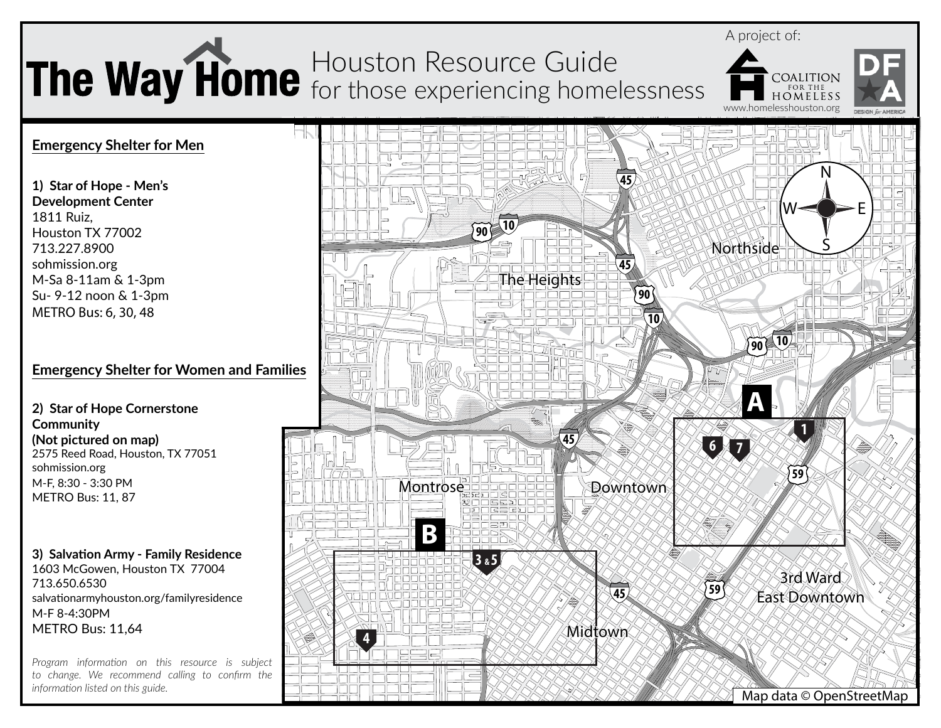